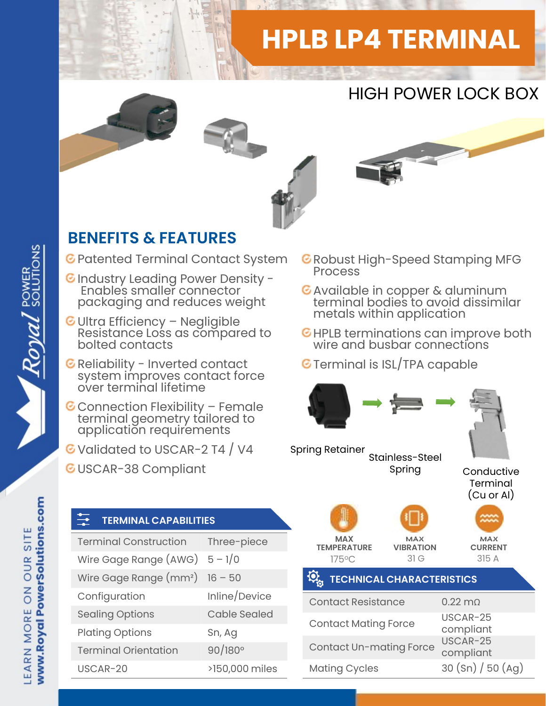# HPLB LP4 TERMINAL

## HIGH POWER LOCK BOX



#### BENEFITS & FEATURES

- Patented Terminal Contact System
- C Industry Leading Power Density -<br>Enables smaller connector **C** Available in copper & aluminum Enable's smaller connector packaging and reduces weight
- **ENEFITS & FEATURES**<br>
Patented Terminal Contact System GRA<br>
Industry Leading Power Density Resistance Ionnector<br>
Prackaging and reduces weight<br>
Ultra Efficiency Negligible<br>
Resistance Loss as compared to GHI<br>
bolted co Reliability Leading Power Density -<br>Finables smaller connector<br>packaging and reduces weight<br>Ultra Efficiency – Negligible<br>Resistance Loss as compared to<br>bolted contacts<br>Reliability - Inverted contact<br>system improves contac
- 
- 
- G Validated to USCAR-2 T4 / V4

TERMINAL CAPABILITIES

Configuration Inline/Device

GUSCAR-38 Compliant

- G Robust High-Speed Stamping MFG
- Available in copper & aluminum terminal bodies to avoid dissimilar metals within application
- **C** HPLB terminations can improve both
- **G** Terminal is ISL/TPA capable



# www.Royal PowerSolutions.com EARN MORE ON OUR SITE

Royal SOLUTIONS